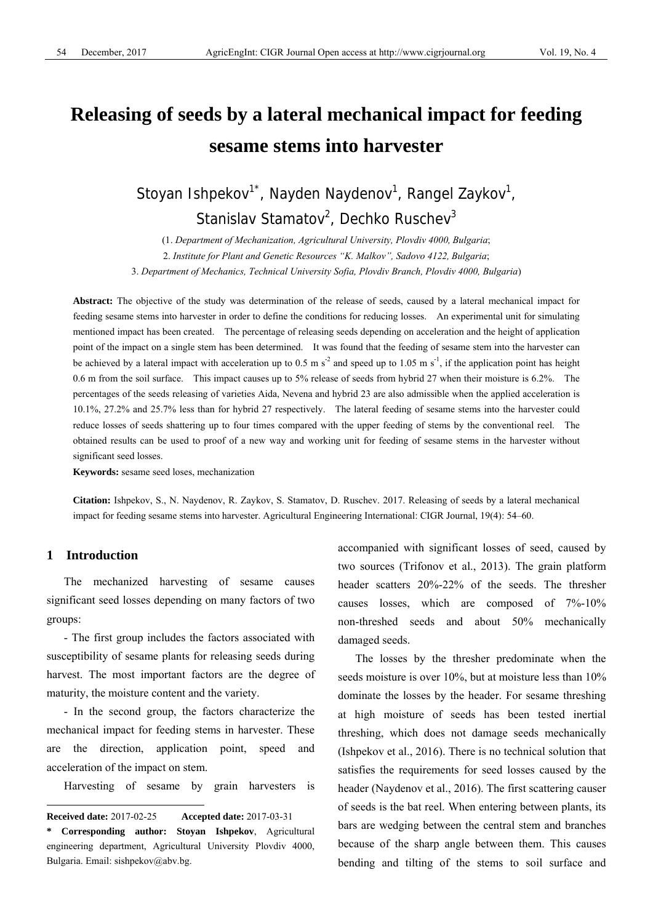# **Releasing of seeds by a lateral mechanical impact for feeding sesame stems into harvester**

Stoyan Ishpekov<sup>1\*</sup>, Nayden Naydenov<sup>1</sup>, Rangel Zaykov<sup>1</sup>, Stanislav Stamatov<sup>2</sup>, Dechko Ruschev<sup>3</sup>

(1. *Department of Mechanization, Agricultural University, Plovdiv 4000, Bulgaria*; 2. *Institute for Plant and Genetic Resources "K. Malkov", Sadovo 4122, Bulgaria*; 3. *Department of Mechanics, Technical University Sofia, Plovdiv Branch, Plovdiv 4000, Bulgaria*)

**Abstract:** The objective of the study was determination of the release of seeds, caused by а lateral mechanical impact for feeding sesame stems into harvester in order to define the conditions for reducing losses. An experimental unit for simulating mentioned impact has been created. The percentage of releasing seeds depending on acceleration and the height of application point of the impact on a single stem has been determined. It was found that the feeding of sesame stem into the harvester can be achieved by a lateral impact with acceleration up to 0.5 m s<sup>-2</sup> and speed up to 1.05 m s<sup>-1</sup>, if the application point has height 0.6 m from the soil surface. This impact causes up to 5% release of seeds from hybrid 27 when their moisture is 6.2%. The percentages of the seeds releasing of varieties Aida, Nevena and hybrid 23 are also admissible when the applied acceleration is 10.1%, 27.2% and 25.7% less than for hybrid 27 respectively. The lateral feeding of sesame stems into the harvester could reduce losses of seeds shattering up to four times compared with the upper feeding of stems by the conventional reel. The obtained results can be used to proof of a new way and working unit for feeding of sesame stems in the harvester without significant seed losses.

**Keywords:** sesame seed loses, mechanization

**Citation:** Ishpekov, S., N. Naydenov, R. Zaykov, S. Stamatov, D. Ruschev. 2017. Releasing of seeds by a lateral mechanical impact for feeding sesame stems into harvester. Agricultural Engineering International: CIGR Journal, 19(4): 54–60.

### **1 Introduction**

 $\overline{a}$ 

The mechanized harvesting of sesame causes significant seed losses depending on many factors of two groups:

- The first group includes the factors associated with susceptibility of sesame plants for releasing seeds during harvest. The most important factors are the degree of maturity, the moisture content and the variety.

- In the second group, the factors characterize the mechanical impact for feeding stems in harvester. These are the direction, application point, speed and acceleration of the impact on stem.

Harvesting of sesame by grain harvesters is

accompanied with significant losses of seed, caused by two sources (Trifonov еt al., 2013). The grain platform header scatters 20%-22% of the seeds. The thresher causes losses, which are composed of 7%-10% non-threshed seeds and about 50% mechanically damaged seeds.

The losses by the thresher predominate when the seeds moisture is over 10%, but at moisture less than 10% dominate the losses by the header. For sesame threshing at high moisture of seeds has been tested inertial threshing, which does not damage seeds mechanically (Ishpekov еt al., 2016). There is no technical solution that satisfies the requirements for seed losses caused by the header (Naydenov et al., 2016). The first scattering causer of seeds is the bat reel. When entering between plants, its bars are wedging between the central stem and branches because of the sharp angle between them. This causes bending and tilting of the stems to soil surface and

**Received date:** 2017-02-25 **Accepted date:** 2017-03-31

**<sup>\*</sup> Corresponding author: Stoyan Ishpekov**, Agricultural engineering department, Agricultural University Plovdiv 4000, Bulgaria. Email: sishpekov@abv.bg.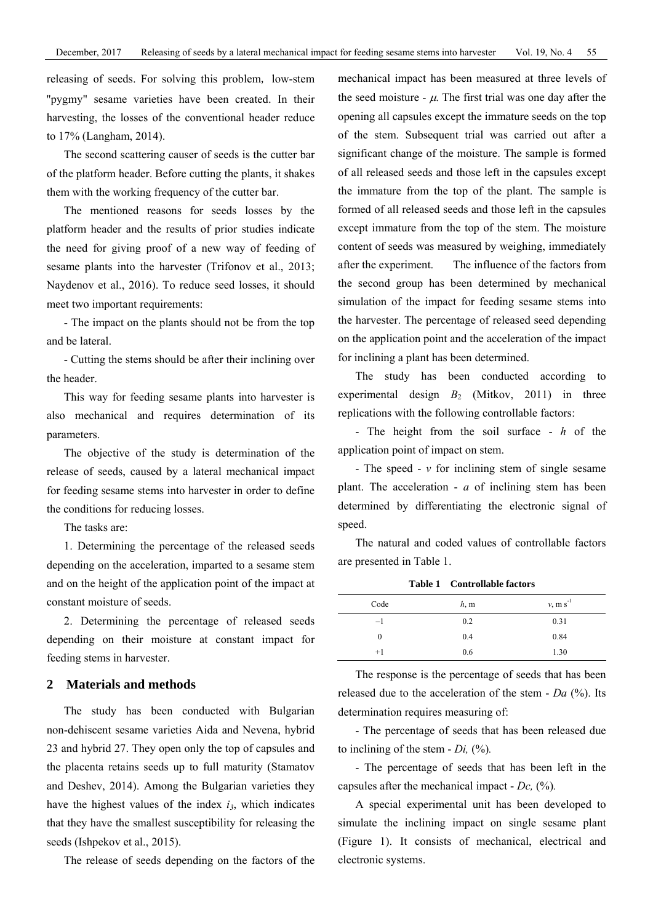releasing of seeds. For solving this problem, low-stem ''pygmy" sesame varieties have been created. In their harvesting, the losses of the conventional header reduce to 17% (Langham, 2014).

The second scattering causer of seeds is the cutter bar of the platform header. Before cutting the plants, it shakes them with the working frequency of the cutter bar.

The mentioned reasons for seeds losses by the platform header and the results of prior studies indicate the need for giving proof of a new way of feeding of sesame plants into the harvester (Trifonov et al., 2013; Naydenov еt al., 2016). To reduce seed losses, it should meet two important requirements:

- The impact on the plants should not be from the top and be lateral.

- Cutting the stems should be after their inclining over the header.

This way for feeding sesame plants into harvester is also mechanical and requires determination of its parameters.

The objective of the study is determination of the release of seeds, caused by a lateral mechanical impact for feeding sesame stems into harvester in order to define the conditions for reducing losses.

The tasks are:

1. Determining the percentage of the released seeds depending on the acceleration, imparted to a sesame stem and on the height of the application point of the impact at constant moisture of seeds.

2. Determining the percentage of released seeds depending on their moisture at constant impact for feeding stems in harvester.

#### **2 Materials and methods**

The study has been conducted with Bulgarian non-dehiscent sesame varieties Aida and Nevena, hybrid 23 and hybrid 27. They open only the top of capsules and the placenta retains seeds up to full maturity (Stamatov and Deshev, 2014). Among the Bulgarian varieties they have the highest values of the index  $i_3$ , which indicates that they have the smallest susceptibility for releasing the seeds (Ishpekov et al., 2015).

The release of seeds depending on the factors of the

mechanical impact has been measured at three levels of the seed moisture -  $\mu$ . The first trial was one day after the opening all capsules except the immature seeds on the top of the stem. Subsequent trial was carried out after a significant change of the moisture. The sample is formed of all released seeds and those left in the capsules except the immature from the top of the plant. The sample is formed of all released seeds and those left in the capsules except immature from the top of the stem. The moisture content of seeds was measured by weighing, immediately after the experiment. The influence of the factors from the second group has been determined by mechanical simulation of the impact for feeding sesame stems into the harvester. The percentage of released seed depending on the application point and the acceleration of the impact for inclining a plant has been determined.

The study has been conducted according to experimental design  $B_2$  (Mitkov, 2011) in three replications with the following controllable factors:

- The height from the soil surface - *h* of the application point of impact on stem.

- The speed - *v* for inclining stem of single sesame plant. The acceleration - *а* of inclining stem has been determined by differentiating the electronic signal of speed.

The natural and coded values of controllable factors are presented in Table 1.

| Code | h, m | $v, m s^{-1}$ |
|------|------|---------------|
| $-1$ | 0.2  | 0.31          |
| 0    | 0.4  | 0.84          |
| $+1$ | 0.6  | 1.30          |

The response is the percentage of seeds that has been released due to the acceleration of the stem - *Da* (%). Its determination requires measuring of:

- The percentage of seeds that has been released due to inclining of the stem - *Di,* (%)*.*

- The percentage of seeds that has been left in the capsules after the mechanical impact - *Dc,* (%)*.*

A special experimental unit has been developed to simulate the inclining impact on single sesame plant (Figure 1). It consists of mechanical, electrical and electronic systems.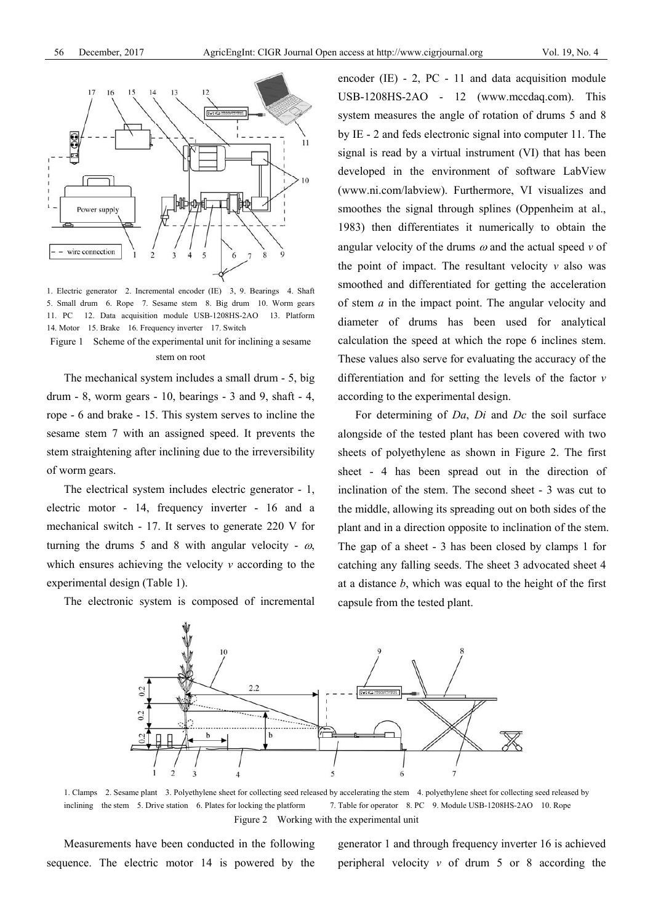

1. Electric generator 2. Incremental encoder (IE) 3, 9. Bearings 4. Shaft 5. Small drum 6. Rope 7. Sesame stem 8. Big drum 10. Worm gears 11. PC 12. Data acquisition module USB-1208HS-2AO 13. Platform 14. Motor 15. Brake 16. Frequency inverter 17. Switch Figure 1 Scheme of the experimental unit for inclining a sesame

stem on root

The mechanical system includes a small drum - 5, big drum - 8, worm gears - 10, bearings - 3 and 9, shaft - 4, rope - 6 and brake - 15. This system serves to incline the sesame stem 7 with an assigned speed. It prevents the stem straightening after inclining due to the irreversibility of worm gears.

The electrical system includes electric generator - 1, electric motor - 14, frequency inverter - 16 and a mechanical switch - 17. It serves to generate 220 V for turning the drums 5 and 8 with angular velocity -  $\omega$ , which ensures achieving the velocity *v* according to the experimental design (Table 1).

The electronic system is composed of incremental

encoder (IE) - 2, PC - 11 and data acquisition module USB-1208HS-2AO - 12 (www.mccdaq.com). This system measures the angle of rotation of drums 5 and 8 by IE - 2 and feds electronic signal into computer 11. The signal is read by a virtual instrument (VI) that has been developed in the environment of software LabView (www.ni.com/labview). Furthermore, VI visualizes and smoothes the signal through splines (Oppenheim at al., 1983) then differentiates it numerically to obtain the angular velocity of the drums  $\omega$  and the actual speed  $\nu$  of the point of impact. The resultant velocity  $\nu$  also was smoothed and differentiated for getting the acceleration of stem *a* in the impact point. The angular velocity and diameter of drums has been used for analytical calculation the speed at which the rope 6 inclines stem. These values also serve for evaluating the accuracy of the differentiation and for setting the levels of the factor *v* according to the experimental design.

For determining of *Da*, *Di* and *Dc* the soil surface alongside of the tested plant has been covered with two sheets of polyethylene as shown in Figure 2. The first sheet - 4 has been spread out in the direction of inclination of the stem. The second sheet - 3 was cut to the middle, allowing its spreading out on both sides of the plant and in a direction opposite to inclination of the stem. The gap of a sheet - 3 has been closed by clamps 1 for catching any falling seeds. The sheet 3 advocated sheet 4 at a distance *b*, which was equal to the height of the first capsule from the tested plant.



1. Clamps 2. Sesame plant 3. Polyethylene sheet for collecting seed released by accelerating the stem 4. polyethylene sheet for collecting seed released by inclining the stem 5. Drive station 6. Plates for locking the platform 7. Table for operator 8. PC 9. Module USB-1208HS-2AO 10. Rope Figure 2 Working with the experimental unit

Measurements have been conducted in the following sequence. The electric motor 14 is powered by the generator 1 and through frequency inverter 16 is achieved peripheral velocity  $v$  of drum  $5$  or  $8$  according the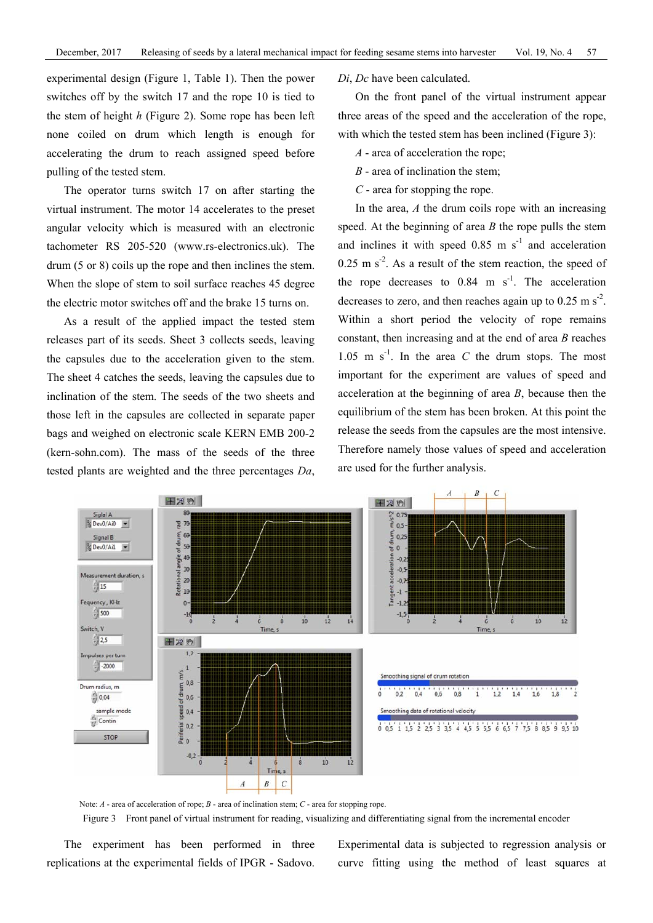experimental design (Figure 1, Table 1). Then the power switches off by the switch 17 and the rope 10 is tied to the stem of height *h* (Figure 2). Some rope has been left none coiled on drum which length is enough for accelerating the drum to reach assigned speed before pulling of the tested stem.

The operator turns switch 17 on after starting the virtual instrument. The motor 14 accelerates to the preset angular velocity which is measured with an electronic tachometer RS 205-520 (www.rs-electronics.uk). The drum (5 or 8) coils up the rope and then inclines the stem. When the slope of stem to soil surface reaches 45 degree the electric motor switches off and the brake 15 turns on.

As a result of the applied impact the tested stem releases part of its seeds. Sheet 3 collects seeds, leaving the capsules due to the acceleration given to the stem. The sheet 4 catches the seeds, leaving the capsules due to inclination of the stem. The seeds of the two sheets and those left in the capsules are collected in separate paper bags and weighed on electronic scale KERN EMB 200-2 (kern-sohn.com). The mass of the seeds of the three tested plants are weighted and the three percentages *Dа*, *Di*, *Dc* have been calculated.

On the front panel of the virtual instrument appear three areas of the speed and the acceleration of the rope, with which the tested stem has been inclined (Figure 3):

- *A* area of acceleration the rope;
- *B* area of inclination the stem;
- *C* area for stopping the rope.

In the area, *A* the drum coils rope with an increasing speed. At the beginning of area *B* the rope pulls the stem and inclines it with speed  $0.85$  m s<sup>-1</sup> and acceleration  $0.25$  m s<sup>-2</sup>. As a result of the stem reaction, the speed of the rope decreases to  $0.84$  m s<sup>-1</sup>. The acceleration decreases to zero, and then reaches again up to  $0.25 \text{ m s}^2$ . Within a short period the velocity of rope remains constant, then increasing and at the end of area *B* reaches  $1.05 \text{ m s}^{-1}$ . In the area *C* the drum stops. The most important for the experiment are values of speed and acceleration at the beginning of area *B*, because then the equilibrium of the stem has been broken. At this point the release the seeds from the capsules are the most intensive. Therefore namely those values of speed and acceleration are used for the further analysis.





Figure 3 Front panel of virtual instrument for reading, visualizing and differentiating signal from the incremental encoder

The experiment has been performed in three replications at the experimental fields of IPGR - Sadovo. Experimental data is subjected to regression analysis or curve fitting using the method of least squares at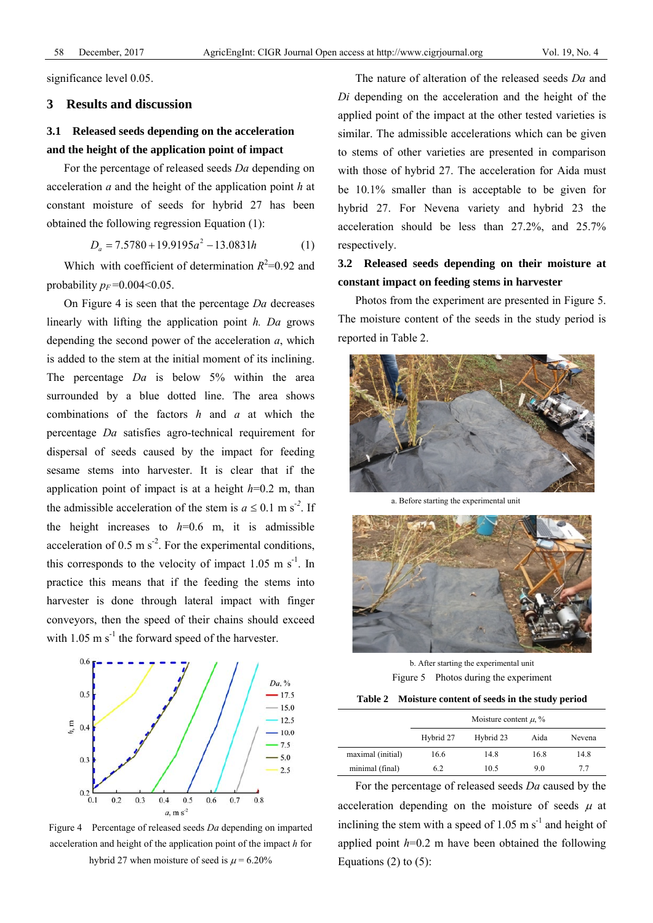significance level 0.05.

#### **3 Results and discussion**

## **3.1 Released seeds depending on the acceleration and the height of the application point of impact**

For the percentage of released seeds *Da* depending on acceleration *a* and the height of the application point *h* at constant moisture of seeds for hybrid 27 has been obtained the following regression Equation (1):

$$
D_a = 7.5780 + 19.9195a^2 - 13.0831h \tag{1}
$$

Which with coefficient of determination  $R^2$ =0.92 and probability  $p_F = 0.004 \le 0.05$ .

On Figure 4 is seen that the percentage *Da* decreases linearly with lifting the application point *h. Da* grows depending the second power of the acceleration *a*, which is added to the stem at the initial moment of its inclining. The percentage *Da* is below 5% within the area surrounded by a blue dotted line. The area shows combinations of the factors *h* and *a* at which the percentage *Da* satisfies agro-technical requirement for dispersal of seeds caused by the impact for feeding sesame stems into harvester. It is clear that if the application point of impact is at a height *h*=0.2 m, than the admissible acceleration of the stem is  $a \le 0.1$  m s<sup>-2</sup>. If the height increases to  $h=0.6$  m, it is admissible acceleration of 0.5 m  $s^2$ . For the experimental conditions, this corresponds to the velocity of impact  $1.05 \text{ m s}^{-1}$ . In practice this means that if the feeding the stems into harvester is done through lateral impact with finger conveyors, then the speed of their chains should exceed with  $1.05 \text{ m s}^{-1}$  the forward speed of the harvester.



Figure 4 Percentage of released seeds *Da* depending on imparted acceleration and height of the application point of the impact *h* for hybrid 27 when moisture of seed is  $\mu$  = 6.20%

The nature of alteration of the released seeds *Da* and *Di* depending on the acceleration and the height of the applied point of the impact at the other tested varieties is similar. The admissible accelerations which can be given to stems of other varieties are presented in comparison with those of hybrid 27. The acceleration for Aida must be 10.1% smaller than is acceptable to be given for hybrid 27. For Nevena variety and hybrid 23 the acceleration should be less than 27.2%, and 25.7% respectively.

**3.2 Released seeds depending on their moisture at constant impact on feeding stems in harvester** 

Photos from the experiment are presented in Figure 5. The moisture content of the seeds in the study period is reported in Table 2.



a. Before starting the experimental unit



b. After starting the experimental unit Figure 5 Photos during the experiment

|  | Table 2 Moisture content of seeds in the study period |  |  |  |
|--|-------------------------------------------------------|--|--|--|
|--|-------------------------------------------------------|--|--|--|

|                   | Moisture content $\mu$ , % |           |      |        |  |
|-------------------|----------------------------|-----------|------|--------|--|
|                   | Hybrid 27                  | Hybrid 23 | Aida | Nevena |  |
| maximal (initial) | 16.6                       | 14.8      | 16.8 | 14.8   |  |
| minimal (final)   | 6.2                        | 10.5      | 9.0  | 77     |  |

For the percentage of released seeds *Da* caused by the acceleration depending on the moisture of seeds  $\mu$  at inclining the stem with a speed of 1.05 m  $s^{-1}$  and height of applied point *h*=0.2 m have been obtained the following Equations  $(2)$  to  $(5)$ :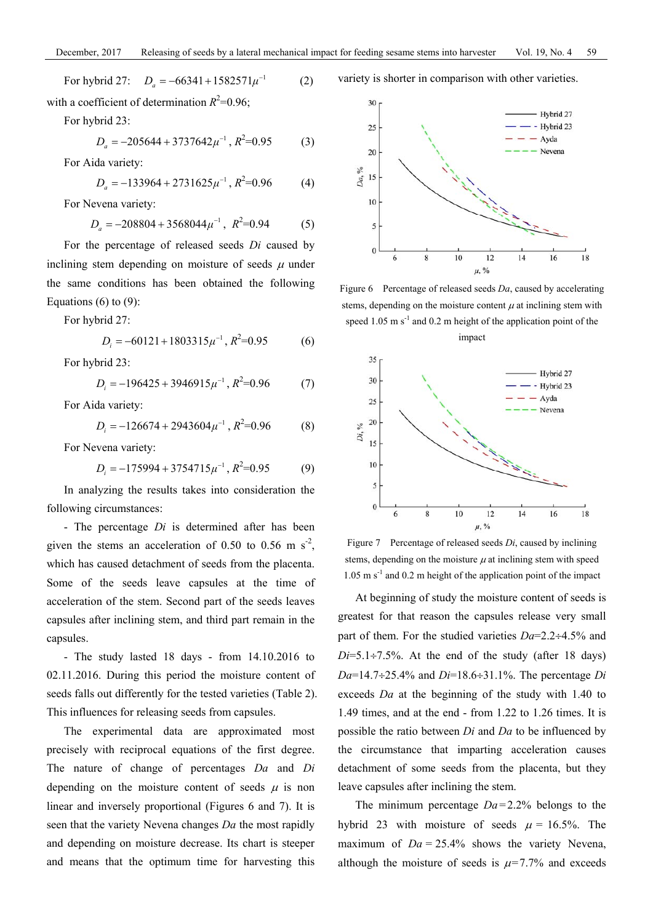For hybrid 27: 
$$
D_a = -66341 + 1582571\mu^{-1}
$$
 (2)

with a coefficient of determination  $R^2$ =0.96;

For hybrid 23:

$$
D_a = -205644 + 3737642 \mu^{-1}, R^2 = 0.95
$$
 (3)

For Aida variety:

$$
D_a = -133964 + 2731625\mu^{-1}, R^2 = 0.96\tag{4}
$$

For Nevena variety:

$$
D_a = -208804 + 3568044 \mu^{-1}, \ R^2 = 0.94 \tag{5}
$$

For the percentage of released seeds *Di* caused by inclining stem depending on moisture of seeds  $\mu$  under the same conditions has been obtained the following Equations  $(6)$  to  $(9)$ :

For hybrid 27:

$$
D_i = -60121 + 1803315\mu^{-1}, R^2 = 0.95\tag{6}
$$

For hybrid 23:

$$
D_i = -196425 + 3946915\mu^{-1}, R^2 = 0.96\tag{7}
$$

For Aida variety:

$$
D_i = -126674 + 2943604\mu^{-1}, R^2 = 0.96
$$
 (8)

For Nevena variety:

$$
D_i = -175994 + 3754715\mu^{-1}, R^2 = 0.95\tag{9}
$$

In analyzing the results takes into consideration the following circumstances:

- The percentage *Di* is determined after has been given the stems an acceleration of 0.50 to 0.56 m  $s^2$ , which has caused detachment of seeds from the placenta. Some of the seeds leave capsules at the time of acceleration of the stem. Second part of the seeds leaves capsules after inclining stem, and third part remain in the capsules.

- The study lasted 18 days - from 14.10.2016 to 02.11.2016. During this period the moisture content of seeds falls out differently for the tested varieties (Table 2). This influences for releasing seeds from capsules.

The experimental data are approximated most precisely with reciprocal equations of the first degree. The nature of change of percentages *Da* and *Di* depending on the moisture content of seeds  $\mu$  is non linear and inversely proportional (Figures 6 and 7). It is seen that the variety Nevena changes *Da* the most rapidly and depending on moisture decrease. Its chart is steeper and means that the optimum time for harvesting this variety is shorter in comparison with other varieties.



Figure 6 Percentage of released seeds *Da*, caused by accelerating stems, depending on the moisture content  $\mu$  at inclining stem with speed  $1.05 \text{ m s}^{-1}$  and  $0.2 \text{ m}$  height of the application point of the





Figure 7 Percentage of released seeds *Di*, caused by inclining stems, depending on the moisture  $\mu$  at inclining stem with speed  $1.05 \text{ m s}^{-1}$  and 0.2 m height of the application point of the impact

At beginning of study the moisture content of seeds is greatest for that reason the capsules release very small part of them. For the studied varieties *Da*=2.2÷4.5% and  $Di=5.1\div7.5\%$ . At the end of the study (after 18 days) *Da*=14.7÷25.4% and *Di*=18.6÷31.1%. The percentage *Di* exceeds *Da* at the beginning of the study with 1.40 to 1.49 times, and at the end - from 1.22 to 1.26 times. It is possible the ratio between *Di* and *Da* to be influenced by the circumstance that imparting acceleration causes detachment of some seeds from the placenta, but they leave capsules after inclining the stem.

The minimum percentage *Da*=2.2% belongs to the hybrid 23 with moisture of seeds  $\mu = 16.5\%$ . The maximum of  $Da = 25.4\%$  shows the variety Nevena, although the moisture of seeds is  $\mu$ =7.7% and exceeds